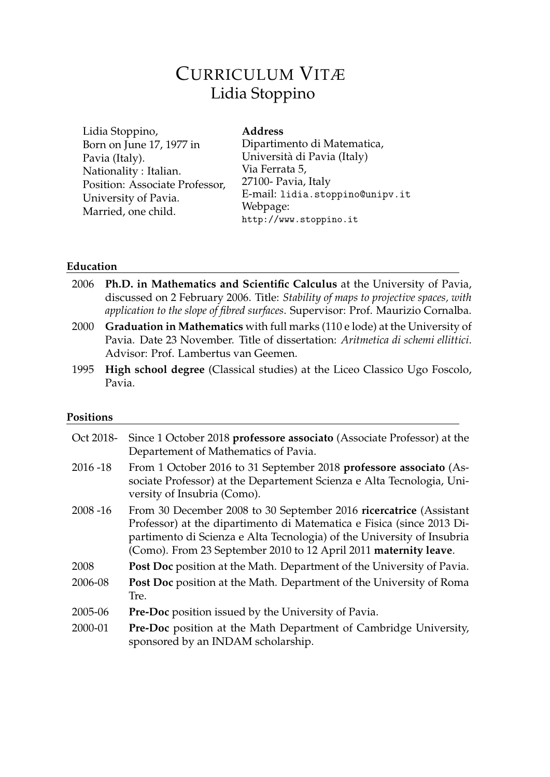# CURRICULUM VITÆ Lidia Stoppino

| Lidia Stoppino,                | <b>Address</b>                  |
|--------------------------------|---------------------------------|
| Born on June 17, 1977 in       | Dipartimento di Matematica,     |
| Pavia (Italy).                 | Università di Pavia (Italy)     |
| Nationality : Italian.         | Via Ferrata 5,                  |
| Position: Associate Professor, | 27100- Pavia, Italy             |
| University of Pavia.           | E-mail: lidia.stoppino@unipv.it |
| Married, one child.            | Webpage:                        |
|                                | http://www.stoppino.it          |

### **Education**

| discussed on 2 February 2006. Title: Stability of maps to projective spaces, with |
|-----------------------------------------------------------------------------------|
| application to the slope of fibred surfaces. Supervisor: Prof. Maurizio Cornalba. |
| Graduation in Mathematics with full marks (110 e lode) at the University of       |
| Pavia. Date 23 November. Title of dissertation: Aritmetica di schemi ellittici.   |
|                                                                                   |
| High school degree (Classical studies) at the Liceo Classico Ugo Foscolo,         |
|                                                                                   |

<u> 1989 - Johann Barbara, martxa alemaniar a</u>

# **Positions**

| Oct 2018-   | Since 1 October 2018 professore associato (Associate Professor) at the<br>Departement of Mathematics of Pavia.                                                                                                                                                                            |
|-------------|-------------------------------------------------------------------------------------------------------------------------------------------------------------------------------------------------------------------------------------------------------------------------------------------|
| $2016 - 18$ | From 1 October 2016 to 31 September 2018 professore associato (As-<br>sociate Professor) at the Departement Scienza e Alta Tecnologia, Uni-<br>versity of Insubria (Como).                                                                                                                |
| $2008 - 16$ | From 30 December 2008 to 30 September 2016 ricercatrice (Assistant<br>Professor) at the dipartimento di Matematica e Fisica (since 2013 Di-<br>partimento di Scienza e Alta Tecnologia) of the University of Insubria<br>(Como). From 23 September 2010 to 12 April 2011 maternity leave. |
| 2008        | Post Doc position at the Math. Department of the University of Pavia.                                                                                                                                                                                                                     |
| 2006-08     | Post Doc position at the Math. Department of the University of Roma<br>Tre.                                                                                                                                                                                                               |
| 2005-06     | <b>Pre-Doc</b> position issued by the University of Pavia.                                                                                                                                                                                                                                |
| 2000-01     | Pre-Doc position at the Math Department of Cambridge University,<br>sponsored by an INDAM scholarship.                                                                                                                                                                                    |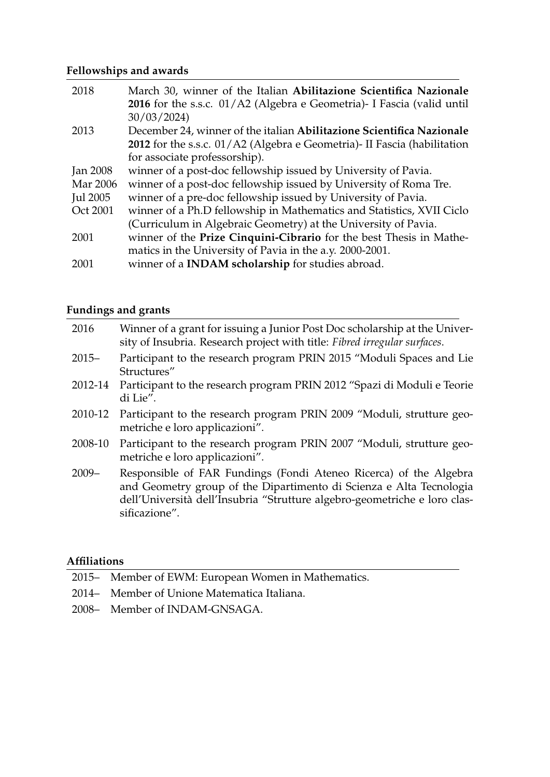# **Fellowships and awards**

| 2018            | March 30, winner of the Italian Abilitazione Scientifica Nazionale       |
|-----------------|--------------------------------------------------------------------------|
|                 | 2016 for the s.s.c. 01/A2 (Algebra e Geometria) - I Fascia (valid until  |
|                 | 30/03/2024                                                               |
| 2013            | December 24, winner of the italian Abilitazione Scientifica Nazionale    |
|                 | 2012 for the s.s.c. 01/A2 (Algebra e Geometria)- II Fascia (habilitation |
|                 | for associate professorship).                                            |
| <b>Jan 2008</b> | winner of a post-doc fellowship issued by University of Pavia.           |
| Mar 2006        | winner of a post-doc fellowship issued by University of Roma Tre.        |
| Jul 2005        | winner of a pre-doc fellowship issued by University of Pavia.            |
| Oct 2001        | winner of a Ph.D fellowship in Mathematics and Statistics, XVII Ciclo    |
|                 | (Curriculum in Algebraic Geometry) at the University of Pavia.           |
| 2001            | winner of the Prize Cinquini-Cibrario for the best Thesis in Mathe-      |
|                 | matics in the University of Pavia in the a.y. 2000-2001.                 |
| 2001            | winner of a <b>INDAM</b> scholarship for studies abroad.                 |

# **Fundings and grants**

| 2016     | Winner of a grant for issuing a Junior Post Doc scholarship at the Univer-<br>sity of Insubria. Research project with title: Fibred irregular surfaces.                                                                                |
|----------|----------------------------------------------------------------------------------------------------------------------------------------------------------------------------------------------------------------------------------------|
| $2015 -$ | Participant to the research program PRIN 2015 "Moduli Spaces and Lie<br>Structures"                                                                                                                                                    |
| 2012-14  | Participant to the research program PRIN 2012 "Spazi di Moduli e Teorie<br>di Lie".                                                                                                                                                    |
| 2010-12  | Participant to the research program PRIN 2009 "Moduli, strutture geo-<br>metriche e loro applicazioni".                                                                                                                                |
| 2008-10  | Participant to the research program PRIN 2007 "Moduli, strutture geo-<br>metriche e loro applicazioni".                                                                                                                                |
| $2009 -$ | Responsible of FAR Fundings (Fondi Ateneo Ricerca) of the Algebra<br>and Geometry group of the Dipartimento di Scienza e Alta Tecnologia<br>dell'Università dell'Insubria "Strutture algebro-geometriche e loro clas-<br>sificazione". |

### **Affiliations**

- 2015– Member of EWM: European Women in Mathematics.
- 2014– Member of Unione Matematica Italiana.
- 2008– Member of INDAM-GNSAGA.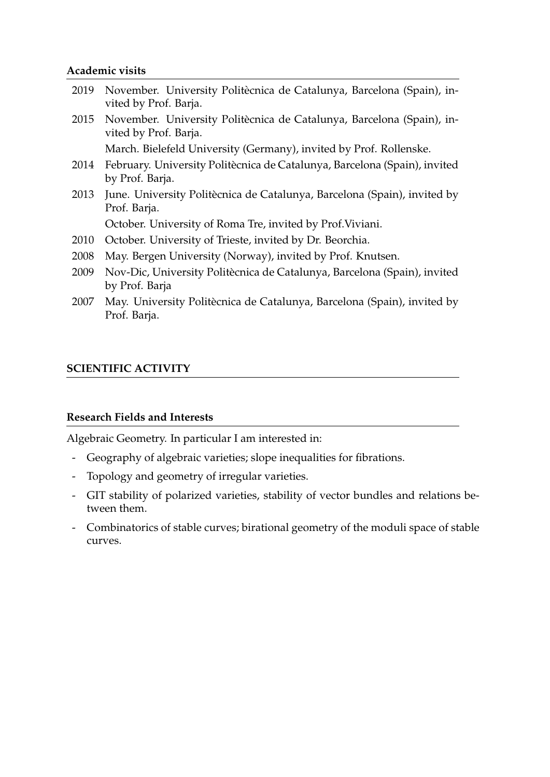#### **Academic visits**

| 2019 | November. University Politècnica de Catalunya, Barcelona (Spain), in-<br>vited by Prof. Barja. |
|------|------------------------------------------------------------------------------------------------|
| 2015 | November. University Politècnica de Catalunya, Barcelona (Spain), in-<br>vited by Prof. Barja. |
|      | March. Bielefeld University (Germany), invited by Prof. Rollenske.                             |
| 2014 | February. University Politècnica de Catalunya, Barcelona (Spain), invited<br>by Prof. Barja.   |
| 2013 | June. University Politècnica de Catalunya, Barcelona (Spain), invited by<br>Prof. Barja.       |
|      | October. University of Roma Tre, invited by Prof. Viviani.                                     |
| 2010 | October. University of Trieste, invited by Dr. Beorchia.                                       |
| 2008 | May. Bergen University (Norway), invited by Prof. Knutsen.                                     |
| 2009 | Nov-Dic, University Politècnica de Catalunya, Barcelona (Spain), invited<br>by Prof. Barja     |
| 2007 | May. University Politècnica de Catalunya, Barcelona (Spain), invited by                        |

## **SCIENTIFIC ACTIVITY**

Prof. Barja.

### **Research Fields and Interests**

Algebraic Geometry. In particular I am interested in:

- Geography of algebraic varieties; slope inequalities for fibrations.
- Topology and geometry of irregular varieties.
- GIT stability of polarized varieties, stability of vector bundles and relations between them.
- Combinatorics of stable curves; birational geometry of the moduli space of stable curves.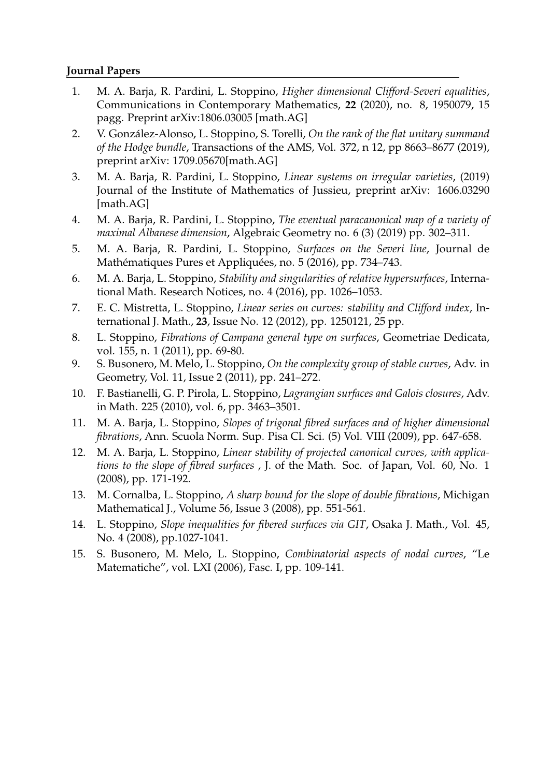#### **Journal Papers**

- 1. M. A. Barja, R. Pardini, L. Stoppino, *Higher dimensional Clifford-Severi equalities*, Communications in Contemporary Mathematics, **22** (2020), no. 8, 1950079, 15 pagg. Preprint arXiv:1806.03005 [math.AG]
- 2. V. González-Alonso, L. Stoppino, S. Torelli, *On the rank of the flat unitary summand of the Hodge bundle*, Transactions of the AMS, Vol. 372, n 12, pp 8663–8677 (2019), preprint arXiv: 1709.05670[math.AG]
- 3. M. A. Barja, R. Pardini, L. Stoppino, *Linear systems on irregular varieties*, (2019) Journal of the Institute of Mathematics of Jussieu, preprint arXiv: 1606.03290 [math.AG]
- 4. M. A. Barja, R. Pardini, L. Stoppino, *The eventual paracanonical map of a variety of maximal Albanese dimension*, Algebraic Geometry no. 6 (3) (2019) pp. 302–311.
- 5. M. A. Barja, R. Pardini, L. Stoppino, *Surfaces on the Severi line*, Journal de Mathématiques Pures et Appliquées, no. 5 (2016), pp. 734–743.
- 6. M. A. Barja, L. Stoppino, *Stability and singularities of relative hypersurfaces*, International Math. Research Notices, no. 4 (2016), pp. 1026–1053.
- 7. E. C. Mistretta, L. Stoppino, *Linear series on curves: stability and Clifford index*, International J. Math., **23**, Issue No. 12 (2012), pp. 1250121, 25 pp.
- 8. L. Stoppino, *Fibrations of Campana general type on surfaces*, Geometriae Dedicata, vol. 155, n. 1 (2011), pp. 69-80.
- 9. S. Busonero, M. Melo, L. Stoppino, *On the complexity group of stable curves*, Adv. in Geometry, Vol. 11, Issue 2 (2011), pp. 241–272.
- 10. F. Bastianelli, G. P. Pirola, L. Stoppino, *Lagrangian surfaces and Galois closures*, Adv. in Math. 225 (2010), vol. 6, pp. 3463–3501.
- 11. M. A. Barja, L. Stoppino, *Slopes of trigonal fibred surfaces and of higher dimensional fibrations*, Ann. Scuola Norm. Sup. Pisa Cl. Sci. (5) Vol. VIII (2009), pp. 647-658.
- 12. M. A. Barja, L. Stoppino, *Linear stability of projected canonical curves, with applications to the slope of fibred surfaces* , J. of the Math. Soc. of Japan, Vol. 60, No. 1 (2008), pp. 171-192.
- 13. M. Cornalba, L. Stoppino, *A sharp bound for the slope of double fibrations*, Michigan Mathematical J., Volume 56, Issue 3 (2008), pp. 551-561.
- 14. L. Stoppino, *Slope inequalities for fibered surfaces via GIT*, Osaka J. Math., Vol. 45, No. 4 (2008), pp.1027-1041.
- 15. S. Busonero, M. Melo, L. Stoppino, *Combinatorial aspects of nodal curves*, "Le Matematiche", vol. LXI (2006), Fasc. I, pp. 109-141.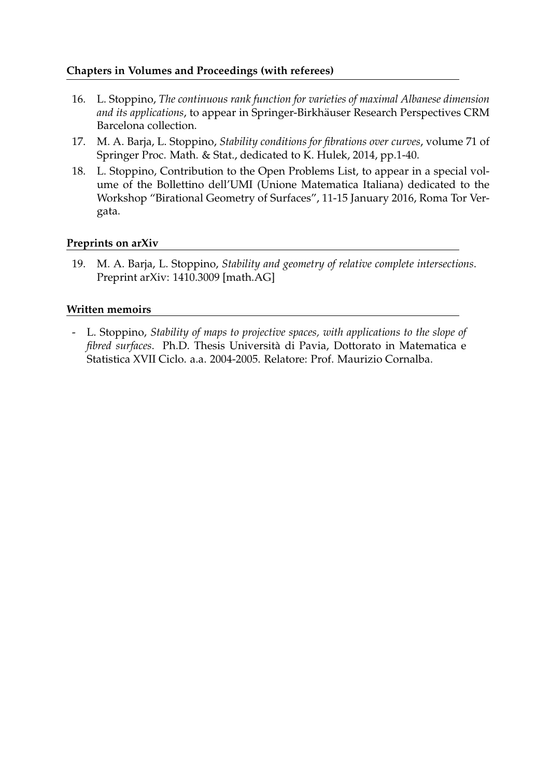### **Chapters in Volumes and Proceedings (with referees)**

- 16. L. Stoppino, *The continuous rank function for varieties of maximal Albanese dimension* and its applications, to appear in Springer-Birkhäuser Research Perspectives CRM Barcelona collection.
- 17. M. A. Barja, L. Stoppino, *Stability conditions for fibrations over curves*, volume 71 of Springer Proc. Math. & Stat., dedicated to K. Hulek, 2014, pp.1-40.
- 18. L. Stoppino, Contribution to the Open Problems List, to appear in a special volume of the Bollettino dell'UMI (Unione Matematica Italiana) dedicated to the Workshop "Birational Geometry of Surfaces", 11-15 January 2016, Roma Tor Vergata.

### **Preprints on arXiv**

19. M. A. Barja, L. Stoppino, *Stability and geometry of relative complete intersections*. Preprint arXiv: 1410.3009 [math.AG]

### **Written memoirs**

- L. Stoppino, *Stability of maps to projective spaces, with applications to the slope of fibred surfaces*. Ph.D. Thesis Universita di Pavia, Dottorato in Matematica e ` Statistica XVII Ciclo. a.a. 2004-2005. Relatore: Prof. Maurizio Cornalba.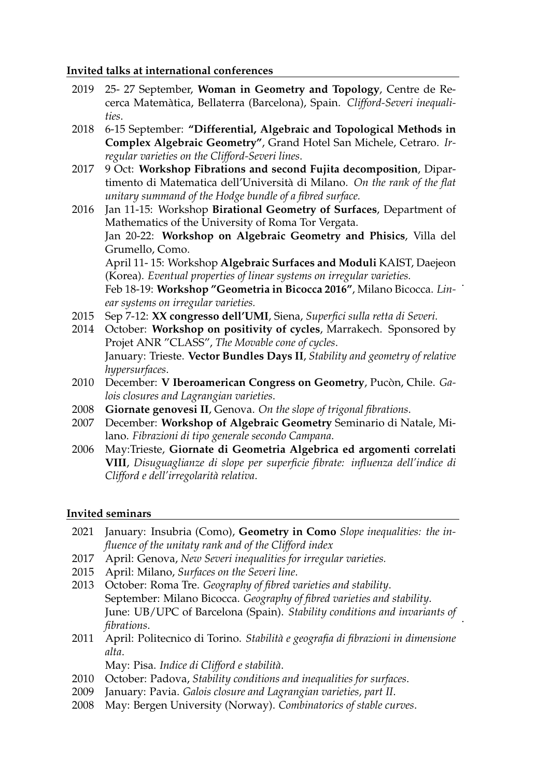#### **Invited talks at international conferences**

- 2019 25- 27 September, **Woman in Geometry and Topology**, Centre de Recerca Matematica, Bellaterra (Barcelona), Spain. ` *Clifford-Severi inequalities*.
- 2018 6-15 September: **"Differential, Algebraic and Topological Methods in Complex Algebraic Geometry"**, Grand Hotel San Michele, Cetraro. *Irregular varieties on the Clifford-Severi lines*.
- 2017 9 Oct: **Workshop Fibrations and second Fujita decomposition**, Dipartimento di Matematica dell'Universita di Milano. ` *On the rank of the flat unitary summand of the Hodge bundle of a fibred surface.*

2016 Jan 11-15: Workshop **Birational Geometry of Surfaces**, Department of Mathematics of the University of Roma Tor Vergata. Jan 20-22: **Workshop on Algebraic Geometry and Phisics**, Villa del Grumello, Como. April 11- 15: Workshop **Algebraic Surfaces and Moduli** KAIST, Daejeon (Korea). *Eventual properties of linear systems on irregular varieties.* Feb 18-19: **Workshop "Geometria in Bicocca 2016"**, Milano Bicocca. *Lin-*. *ear systems on irregular varieties.*

- 2015 Sep 7-12: **XX congresso dell'UMI**, Siena, *Superfici sulla retta di Severi*.
- 2014 October: **Workshop on positivity of cycles**, Marrakech. Sponsored by Projet ANR "CLASS", *The Movable cone of cycles*. January: Trieste. **Vector Bundles Days II**, *Stability and geometry of relative hypersurfaces*.
- 2010 December: **V Iberoamerican Congress on Geometry**, Pucòn, Chile. Ga*lois closures and Lagrangian varieties*.
- 2008 **Giornate genovesi II**, Genova. *On the slope of trigonal fibrations*.
- 2007 December: **Workshop of Algebraic Geometry** Seminario di Natale, Milano. *Fibrazioni di tipo generale secondo Campana*.
- 2006 May:Trieste, **Giornate di Geometria Algebrica ed argomenti correlati VIII**, *Disuguaglianze di slope per superficie fibrate: influenza dell'indice di Clifford e dell'irregolarit`a relativa*.

### **Invited seminars**

- 2021 January: Insubria (Como), **Geometry in Como** *Slope inequalities: the influence of the unitaty rank and of the Clifford index*
- 2017 April: Genova, *New Severi inequalities for irregular varieties.*
- 2015 April: Milano, *Surfaces on the Severi line*.
- 2013 October: Roma Tre. *Geography of fibred varieties and stability*. September: Milano Bicocca. *Geography of fibred varieties and stability*. June: UB/UPC of Barcelona (Spain). *Stability conditions and invariants of fibrations*. .
- 2011 April: Politecnico di Torino. *Stabilit`a e geografia di fibrazioni in dimensione alta*.

May: Pisa. *Indice di Clifford e stabilit`a*.

- 2010 October: Padova, *Stability conditions and inequalities for surfaces*.
- 2009 January: Pavia. *Galois closure and Lagrangian varieties, part II*.
- 2008 May: Bergen University (Norway). *Combinatorics of stable curves*.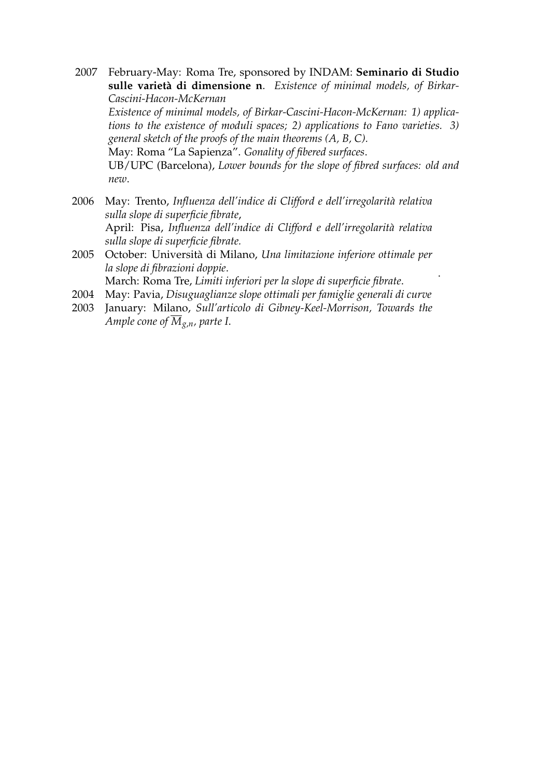- 2007 February-May: Roma Tre, sponsored by INDAM: **Seminario di Studio** sulle varietà di dimensione n. Existence of minimal models, of Birkar-*Cascini-Hacon-McKernan Existence of minimal models, of Birkar-Cascini-Hacon-McKernan: 1) applications to the existence of moduli spaces; 2) applications to Fano varieties. 3) general sketch of the proofs of the main theorems (A, B, C).* May: Roma "La Sapienza". *Gonality of fibered surfaces*. UB/UPC (Barcelona), *Lower bounds for the slope of fibred surfaces: old and new*.
- 2006 May: Trento, *Influenza dell'indice di Clifford e dell'irregolarità relativa sulla slope di superficie fibrate*, April: Pisa, *Influenza dell'indice di Clifford e dell'irregolarità relativa sulla slope di superficie fibrate.*
- 2005 October: Universita di Milano, ` *Una limitazione inferiore ottimale per la slope di fibrazioni doppie*.

.

March: Roma Tre, *Limiti inferiori per la slope di superficie fibrate*.

- 2004 May: Pavia, *Disuguaglianze slope ottimali per famiglie generali di curve*
- 2003 January: Milano, *Sull'articolo di Gibney-Keel-Morrison, Towards the Ample cone of*  $\overline{M}_{g,n}$ *, parte I.*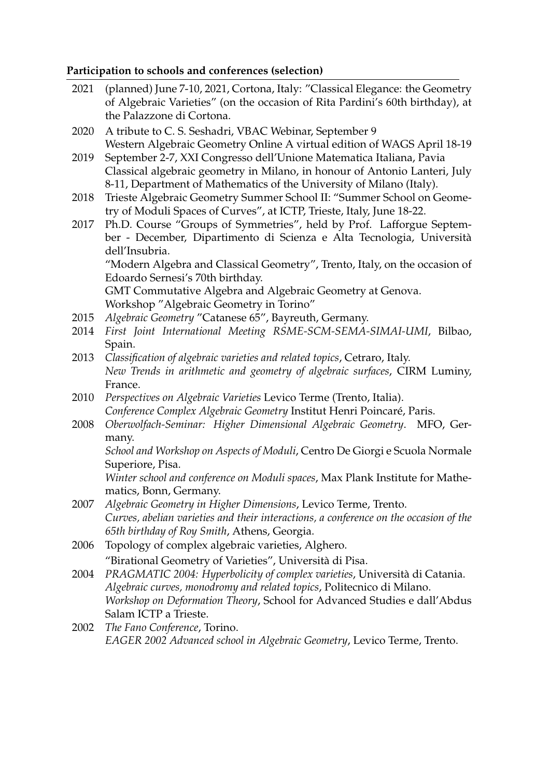# **Participation to schools and conferences (selection)**

| 2021 | (planned) June 7-10, 2021, Cortona, Italy: "Classical Elegance: the Geometry<br>of Algebraic Varieties" (on the occasion of Rita Pardini's 60th birthday), at<br>the Palazzone di Cortona.                                                                                                           |
|------|------------------------------------------------------------------------------------------------------------------------------------------------------------------------------------------------------------------------------------------------------------------------------------------------------|
| 2020 | A tribute to C. S. Seshadri, VBAC Webinar, September 9                                                                                                                                                                                                                                               |
| 2019 | Western Algebraic Geometry Online A virtual edition of WAGS April 18-19<br>September 2-7, XXI Congresso dell'Unione Matematica Italiana, Pavia<br>Classical algebraic geometry in Milano, in honour of Antonio Lanteri, July<br>8-11, Department of Mathematics of the University of Milano (Italy). |
| 2018 | Trieste Algebraic Geometry Summer School II: "Summer School on Geome-<br>try of Moduli Spaces of Curves", at ICTP, Trieste, Italy, June 18-22.                                                                                                                                                       |
| 2017 | Ph.D. Course "Groups of Symmetries", held by Prof. Lafforgue Septem-<br>ber - December, Dipartimento di Scienza e Alta Tecnologia, Università<br>dell'Insubria.                                                                                                                                      |
|      | "Modern Algebra and Classical Geometry", Trento, Italy, on the occasion of<br>Edoardo Sernesi's 70th birthday.                                                                                                                                                                                       |
|      | GMT Commutative Algebra and Algebraic Geometry at Genova.<br>Workshop "Algebraic Geometry in Torino"                                                                                                                                                                                                 |
| 2015 | Algebraic Geometry "Catanese 65", Bayreuth, Germany.                                                                                                                                                                                                                                                 |
| 2014 | First Joint International Meeting RSME-SCM-SEMA-SIMAI-UMI, Bilbao,<br>Spain.                                                                                                                                                                                                                         |
| 2013 | Classification of algebraic varieties and related topics, Cetraro, Italy.                                                                                                                                                                                                                            |
|      | New Trends in arithmetic and geometry of algebraic surfaces, CIRM Luminy,<br>France.                                                                                                                                                                                                                 |
| 2010 |                                                                                                                                                                                                                                                                                                      |
|      | Perspectives on Algebraic Varieties Levico Terme (Trento, Italia).                                                                                                                                                                                                                                   |
| 2008 | Conference Complex Algebraic Geometry Institut Henri Poincaré, Paris.<br>Oberwolfach-Seminar: Higher Dimensional Algebraic Geometry. MFO, Ger-                                                                                                                                                       |
|      | many.<br>School and Workshop on Aspects of Moduli, Centro De Giorgi e Scuola Normale                                                                                                                                                                                                                 |
|      | Superiore, Pisa.                                                                                                                                                                                                                                                                                     |
|      | Winter school and conference on Moduli spaces, Max Plank Institute for Mathe-<br>matics, Bonn, Germany.                                                                                                                                                                                              |
| 2007 | Algebraic Geometry in Higher Dimensions, Levico Terme, Trento.                                                                                                                                                                                                                                       |
|      | Curves, abelian varieties and their interactions, a conference on the occasion of the                                                                                                                                                                                                                |
|      | 65th birthday of Roy Smith, Athens, Georgia.                                                                                                                                                                                                                                                         |
| 2006 | Topology of complex algebraic varieties, Alghero.                                                                                                                                                                                                                                                    |
|      | "Birational Geometry of Varieties", Università di Pisa.                                                                                                                                                                                                                                              |
| 2004 | PRAGMATIC 2004: Hyperbolicity of complex varieties, Università di Catania.                                                                                                                                                                                                                           |
|      | Algebraic curves, monodromy and related topics, Politecnico di Milano.                                                                                                                                                                                                                               |
|      | Workshop on Deformation Theory, School for Advanced Studies e dall'Abdus                                                                                                                                                                                                                             |
|      | Salam ICTP a Trieste.                                                                                                                                                                                                                                                                                |
| 2002 | The Fano Conference, Torino.                                                                                                                                                                                                                                                                         |
|      | EAGER 2002 Advanced school in Algebraic Geometry, Levico Terme, Trento.                                                                                                                                                                                                                              |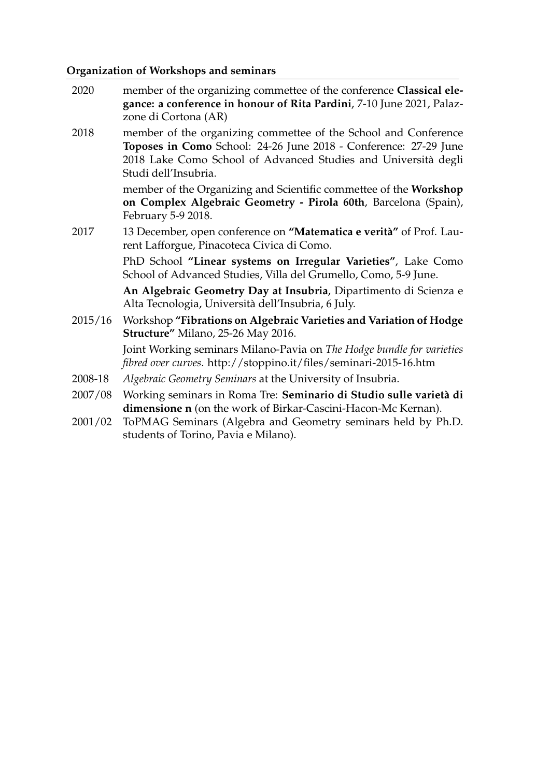# **Organization of Workshops and seminars**

| 2020    | member of the organizing commettee of the conference Classical ele-<br>gance: a conference in honour of Rita Pardini, 7-10 June 2021, Palaz-<br>zone di Cortona (AR)                                                          |
|---------|-------------------------------------------------------------------------------------------------------------------------------------------------------------------------------------------------------------------------------|
| 2018    | member of the organizing commettee of the School and Conference<br>Toposes in Como School: 24-26 June 2018 - Conference: 27-29 June<br>2018 Lake Como School of Advanced Studies and Università degli<br>Studi dell'Insubria. |
|         | member of the Organizing and Scientific commettee of the Workshop<br>on Complex Algebraic Geometry - Pirola 60th, Barcelona (Spain),<br>February 5-9 2018.                                                                    |
| 2017    | 13 December, open conference on "Matematica e verità" of Prof. Lau-<br>rent Lafforgue, Pinacoteca Civica di Como.                                                                                                             |
|         | PhD School "Linear systems on Irregular Varieties", Lake Como<br>School of Advanced Studies, Villa del Grumello, Como, 5-9 June.                                                                                              |
|         | An Algebraic Geometry Day at Insubria, Dipartimento di Scienza e<br>Alta Tecnologia, Università dell'Insubria, 6 July.                                                                                                        |
| 2015/16 | Workshop "Fibrations on Algebraic Varieties and Variation of Hodge<br>Structure" Milano, 25-26 May 2016.                                                                                                                      |
|         | Joint Working seminars Milano-Pavia on The Hodge bundle for varieties<br>fibred over curves. http://stoppino.it/files/seminari-2015-16.htm                                                                                    |
| 2008-18 | Algebraic Geometry Seminars at the University of Insubria.                                                                                                                                                                    |
| 2007/08 | Working seminars in Roma Tre: Seminario di Studio sulle varietà di<br>dimensione n (on the work of Birkar-Cascini-Hacon-Mc Kernan).                                                                                           |
| 2001/02 | ToPMAG Seminars (Algebra and Geometry seminars held by Ph.D.<br>students of Torino, Pavia e Milano).                                                                                                                          |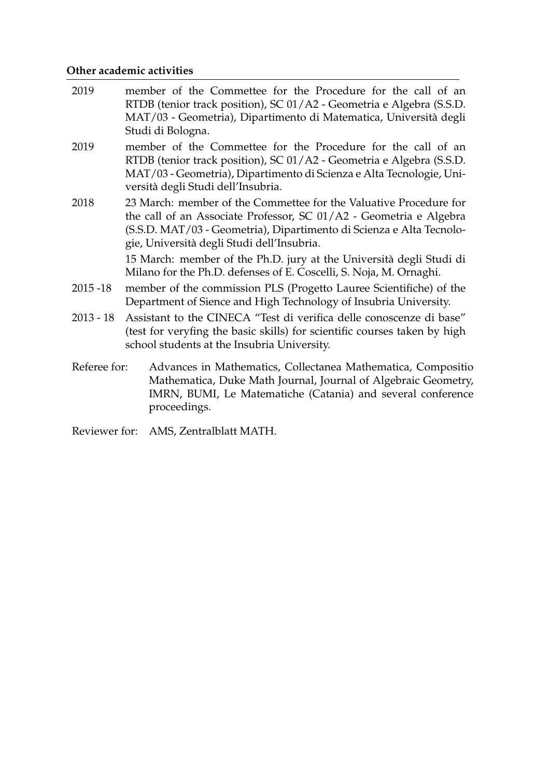# **Other academic activities**

| 2019         | member of the Commettee for the Procedure for the call of an<br>RTDB (tenior track position), SC 01/A2 - Geometria e Algebra (S.S.D.<br>MAT/03 - Geometria), Dipartimento di Matematica, Università degli<br>Studi di Bologna.                                |
|--------------|---------------------------------------------------------------------------------------------------------------------------------------------------------------------------------------------------------------------------------------------------------------|
| 2019         | member of the Commettee for the Procedure for the call of an<br>RTDB (tenior track position), SC 01/A2 - Geometria e Algebra (S.S.D.<br>MAT/03 - Geometria), Dipartimento di Scienza e Alta Tecnologie, Uni-<br>versità degli Studi dell'Insubria.            |
| 2018         | 23 March: member of the Commettee for the Valuative Procedure for<br>the call of an Associate Professor, SC 01/A2 - Geometria e Algebra<br>(S.S.D. MAT/03 - Geometria), Dipartimento di Scienza e Alta Tecnolo-<br>gie, Università degli Studi dell'Insubria. |
|              | 15 March: member of the Ph.D. jury at the Università degli Studi di<br>Milano for the Ph.D. defenses of E. Coscelli, S. Noja, M. Ornaghi.                                                                                                                     |
| $2015 - 18$  | member of the commission PLS (Progetto Lauree Scientifiche) of the<br>Department of Sience and High Technology of Insubria University.                                                                                                                        |
| $2013 - 18$  | Assistant to the CINECA "Test di verifica delle conoscenze di base"<br>(test for veryfing the basic skills) for scientific courses taken by high<br>school students at the Insubria University.                                                               |
| Referee for: | Advances in Mathematics, Collectanea Mathematica, Compositio<br>Mathematica, Duke Math Journal, Journal of Algebraic Geometry,<br>IMRN, BUMI, Le Matematiche (Catania) and several conference<br>proceedings.                                                 |
|              |                                                                                                                                                                                                                                                               |

Reviewer for: AMS, Zentralblatt MATH.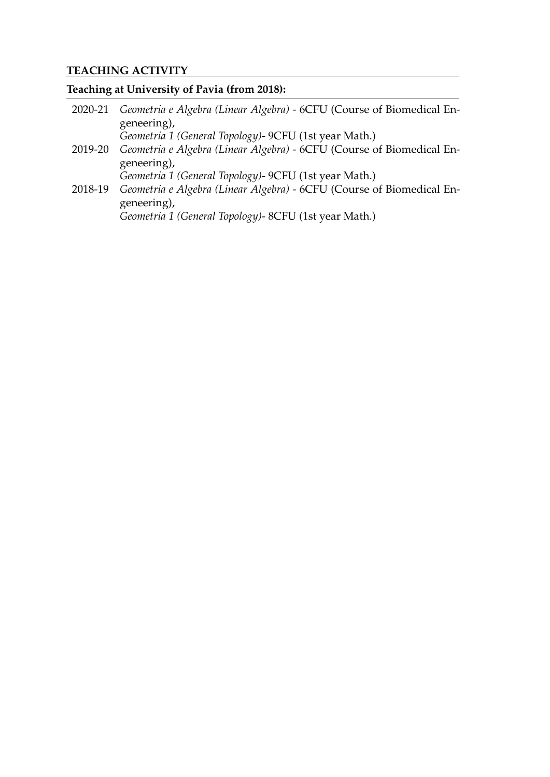# **TEACHING ACTIVITY**

# **Teaching at University of Pavia (from 2018):**

| 2020-21 | Geometria e Algebra (Linear Algebra) - 6CFU (Course of Biomedical En- |
|---------|-----------------------------------------------------------------------|
|         | geneering),                                                           |
|         | Geometria 1 (General Topology) - 9CFU (1st year Math.)                |
| 2019-20 | Geometria e Algebra (Linear Algebra) - 6CFU (Course of Biomedical En- |
|         | geneering),                                                           |
|         | Geometria 1 (General Topology) - 9CFU (1st year Math.)                |
| 2018-19 | Geometria e Algebra (Linear Algebra) - 6CFU (Course of Biomedical En- |
|         | geneering),                                                           |
|         | Geometria 1 (General Topology)- 8CFU (1st year Math.)                 |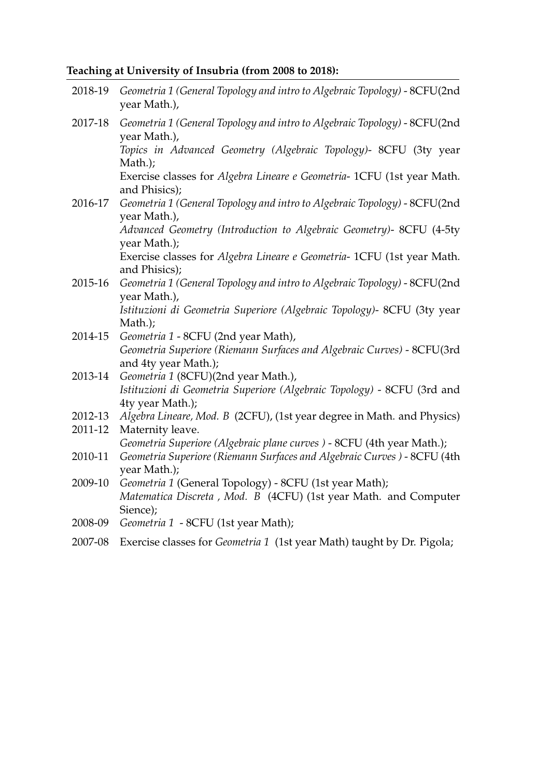# **Teaching at University of Insubria (from 2008 to 2018):**

| 2018-19 | Geometria 1 (General Topology and intro to Algebraic Topology) - 8CFU(2nd<br>year Math.),                                             |
|---------|---------------------------------------------------------------------------------------------------------------------------------------|
| 2017-18 | Geometria 1 (General Topology and intro to Algebraic Topology) - 8CFU(2nd<br>year Math.),                                             |
|         | Topics in Advanced Geometry (Algebraic Topology)- 8CFU (3ty year<br>Math.);                                                           |
|         | Exercise classes for Algebra Lineare e Geometria- 1CFU (1st year Math.<br>and Phisics);                                               |
| 2016-17 | Geometria 1 (General Topology and intro to Algebraic Topology) - 8CFU(2nd<br>year Math.),                                             |
|         | Advanced Geometry (Introduction to Algebraic Geometry)- 8CFU (4-5ty<br>year Math.);                                                   |
|         | Exercise classes for Algebra Lineare e Geometria- 1CFU (1st year Math.<br>and Phisics);                                               |
| 2015-16 | Geometria 1 (General Topology and intro to Algebraic Topology) - 8CFU(2nd<br>year Math.),                                             |
|         | Istituzioni di Geometria Superiore (Algebraic Topology)- 8CFU (3ty year<br>Math.);                                                    |
| 2014-15 | Geometria 1 - 8CFU (2nd year Math),                                                                                                   |
|         | Geometria Superiore (Riemann Surfaces and Algebraic Curves) - 8CFU(3rd<br>and 4ty year Math.);                                        |
| 2013-14 | Geometria 1 (8CFU)(2nd year Math.),                                                                                                   |
|         | Istituzioni di Geometria Superiore (Algebraic Topology) - 8CFU (3rd and<br>4ty year Math.);                                           |
| 2012-13 | Algebra Lineare, Mod. B (2CFU), (1st year degree in Math. and Physics)                                                                |
| 2011-12 | Maternity leave.                                                                                                                      |
|         | Geometria Superiore (Algebraic plane curves) - 8CFU (4th year Math.);                                                                 |
| 2010-11 | Geometria Superiore (Riemann Surfaces and Algebraic Curves) - 8CFU (4th<br>year Math.);                                               |
| 2009-10 | Geometria 1 (General Topology) - 8CFU (1st year Math);<br>Matematica Discreta, Mod. B (4CFU) (1st year Math. and Computer<br>Sience); |
| 2008-09 | Geometria 1 - 8CFU (1st year Math);                                                                                                   |
| 2007-08 | Exercise classes for Geometria 1 (1st year Math) taught by Dr. Pigola;                                                                |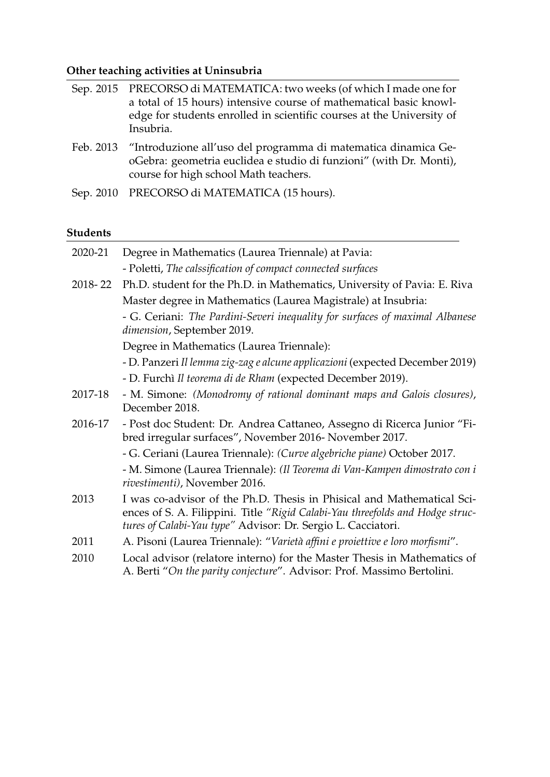# **Other teaching activities at Uninsubria**

| Sep. 2015 PRECORSO di MATEMATICA: two weeks (of which I made one for<br>a total of 15 hours) intensive course of mathematical basic knowl-<br>edge for students enrolled in scientific courses at the University of<br>Insubria. |
|----------------------------------------------------------------------------------------------------------------------------------------------------------------------------------------------------------------------------------|
| Feb. 2013 "Introduzione all'uso del programma di matematica dinamica Ge-<br>oGebra: geometria euclidea e studio di funzioni" (with Dr. Monti),<br>course for high school Math teachers.                                          |

Sep. 2010 PRECORSO di MATEMATICA (15 hours).

# **Students**

| 2020-21 | Degree in Mathematics (Laurea Triennale) at Pavia:                                                                                                                                                                      |  |
|---------|-------------------------------------------------------------------------------------------------------------------------------------------------------------------------------------------------------------------------|--|
|         | - Poletti, The calssification of compact connected surfaces                                                                                                                                                             |  |
| 2018-22 | Ph.D. student for the Ph.D. in Mathematics, University of Pavia: E. Riva                                                                                                                                                |  |
|         | Master degree in Mathematics (Laurea Magistrale) at Insubria:                                                                                                                                                           |  |
|         | - G. Ceriani: The Pardini-Severi inequality for surfaces of maximal Albanese<br>dimension, September 2019.                                                                                                              |  |
|         | Degree in Mathematics (Laurea Triennale):                                                                                                                                                                               |  |
|         | - D. Panzeri Il lemma zig-zag e alcune applicazioni (expected December 2019)                                                                                                                                            |  |
|         | - D. Furchì Il teorema di de Rham (expected December 2019).                                                                                                                                                             |  |
| 2017-18 | - M. Simone: (Monodromy of rational dominant maps and Galois closures),<br>December 2018.                                                                                                                               |  |
| 2016-17 | - Post doc Student: Dr. Andrea Cattaneo, Assegno di Ricerca Junior "Fi-<br>bred irregular surfaces", November 2016- November 2017.                                                                                      |  |
|         | - G. Ceriani (Laurea Triennale): (Curve algebriche piane) October 2017.                                                                                                                                                 |  |
|         | - M. Simone (Laurea Triennale): (Il Teorema di Van-Kampen dimostrato con i<br>rivestimenti), November 2016.                                                                                                             |  |
| 2013    | I was co-advisor of the Ph.D. Thesis in Phisical and Mathematical Sci-<br>ences of S. A. Filippini. Title "Rigid Calabi-Yau threefolds and Hodge struc-<br>tures of Calabi-Yau type" Advisor: Dr. Sergio L. Cacciatori. |  |
| 2011    | A. Pisoni (Laurea Triennale): "Varietà affini e proiettive e loro morfismi".                                                                                                                                            |  |
| 2010    | Local advisor (relatore interno) for the Master Thesis in Mathematics of<br>A. Berti "On the parity conjecture". Advisor: Prof. Massimo Bertolini.                                                                      |  |